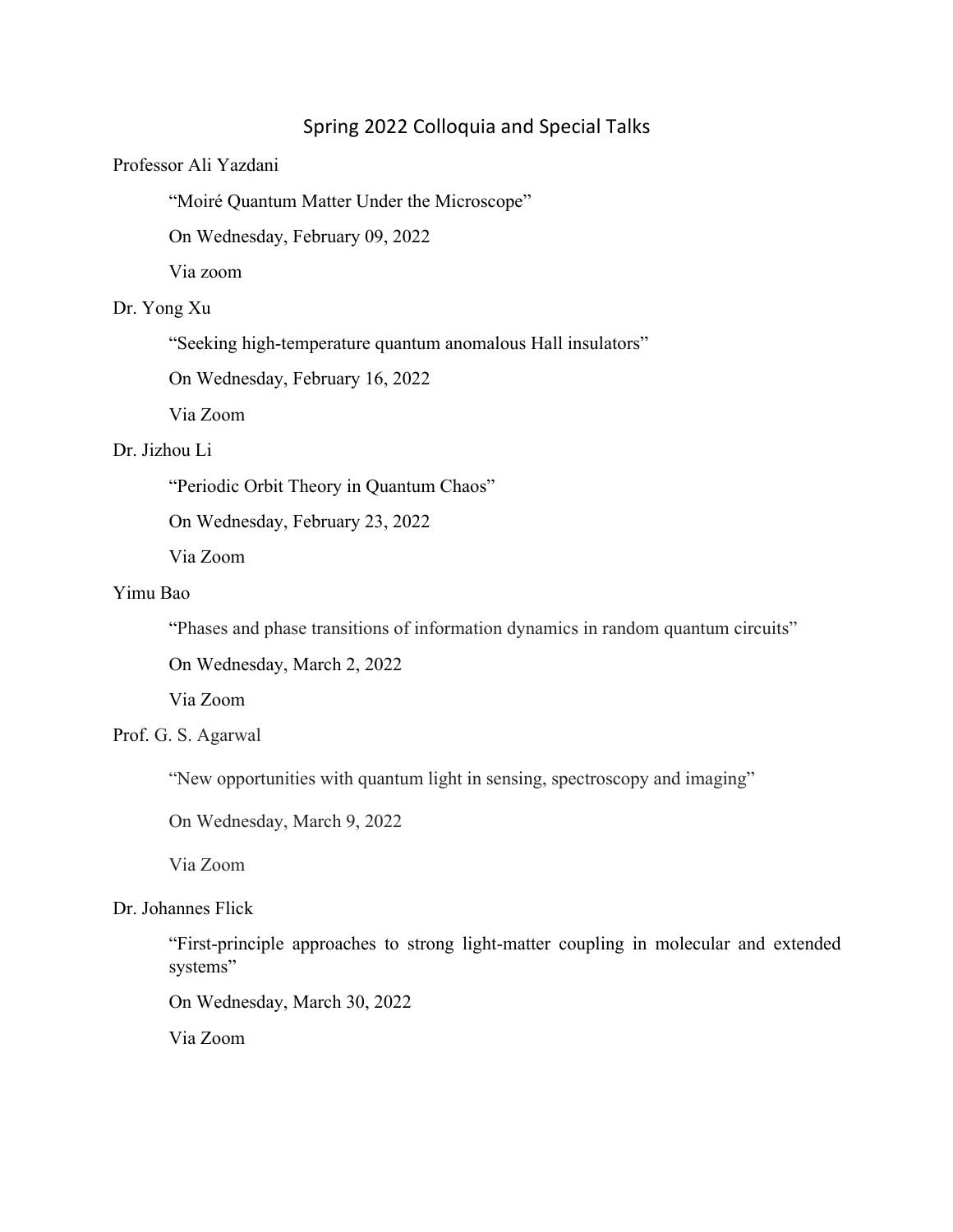# Spring 2022 Colloquia and Special Talks

## Professor Ali Yazdani

"Moiré Quantum Matter Under the Microscope"

On Wednesday, February 09, 2022

Via zoom

# Dr. Yong Xu

"Seeking high-temperature quantum anomalous Hall insulators"

On Wednesday, February 16, 2022

Via Zoom

## Dr. Jizhou Li

"Periodic Orbit Theory in Quantum Chaos"

On Wednesday, February 23, 2022

Via Zoom

## Yimu Bao

"Phases and phase transitions of information dynamics in random quantum circuits"

On Wednesday, March 2, 2022

Via Zoom

#### Prof. G. S. Agarwal

"New opportunities with quantum light in sensing, spectroscopy and imaging"

On Wednesday, March 9, 2022

Via Zoom

#### Dr. Johannes Flick

"First-principle approaches to strong light-matter coupling in molecular and extended systems"

On Wednesday, March 30, 2022

Via Zoom